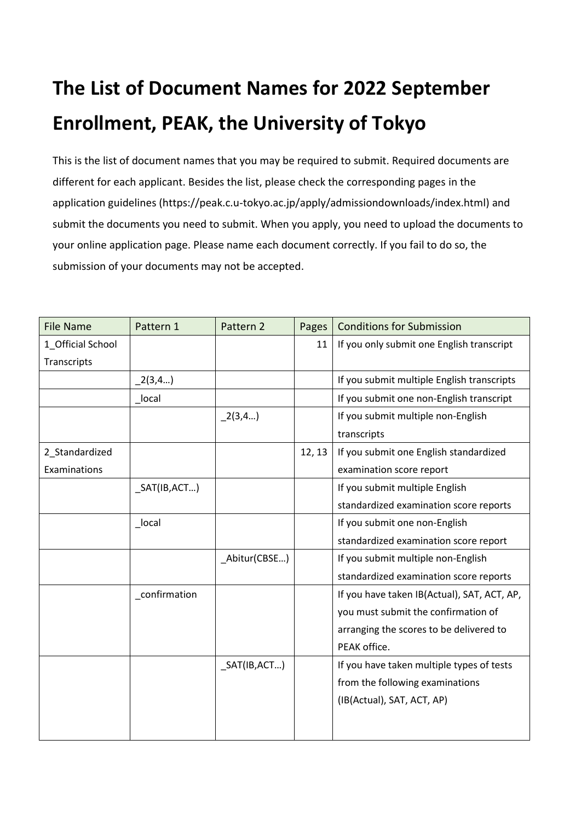## **The List of Document Names for 2022 September Enrollment, PEAK, the University of Tokyo**

This is the list of document names that you may be required to submit. Required documents are different for each applicant. Besides the list, please check the corresponding pages in the application guidelines (https://peak.c.u-tokyo.ac.jp/apply/admissiondownloads/index.html) and submit the documents you need to submit. When you apply, you need to upload the documents to your online application page. Please name each document correctly. If you fail to do so, the submission of your documents may not be accepted.

| <b>File Name</b>  | Pattern 1     | Pattern 2        | Pages  | <b>Conditions for Submission</b>            |
|-------------------|---------------|------------------|--------|---------------------------------------------|
| 1_Official School |               |                  | 11     | If you only submit one English transcript   |
| Transcripts       |               |                  |        |                                             |
|                   | (2(3,4)       |                  |        | If you submit multiple English transcripts  |
|                   | local         |                  |        | If you submit one non-English transcript    |
|                   |               | (2(3,4))         |        | If you submit multiple non-English          |
|                   |               |                  |        | transcripts                                 |
| 2_Standardized    |               |                  | 12, 13 | If you submit one English standardized      |
| Examinations      |               |                  |        | examination score report                    |
|                   | SAT(IB, ACT)  |                  |        | If you submit multiple English              |
|                   |               |                  |        | standardized examination score reports      |
|                   | _local        |                  |        | If you submit one non-English               |
|                   |               |                  |        | standardized examination score report       |
|                   |               | _Abitur(CBSE)    |        | If you submit multiple non-English          |
|                   |               |                  |        | standardized examination score reports      |
|                   | _confirmation |                  |        | If you have taken IB(Actual), SAT, ACT, AP, |
|                   |               |                  |        | you must submit the confirmation of         |
|                   |               |                  |        | arranging the scores to be delivered to     |
|                   |               |                  |        | PEAK office.                                |
|                   |               | $\_SAT(IB, ACT)$ |        | If you have taken multiple types of tests   |
|                   |               |                  |        | from the following examinations             |
|                   |               |                  |        | (IB(Actual), SAT, ACT, AP)                  |
|                   |               |                  |        |                                             |
|                   |               |                  |        |                                             |